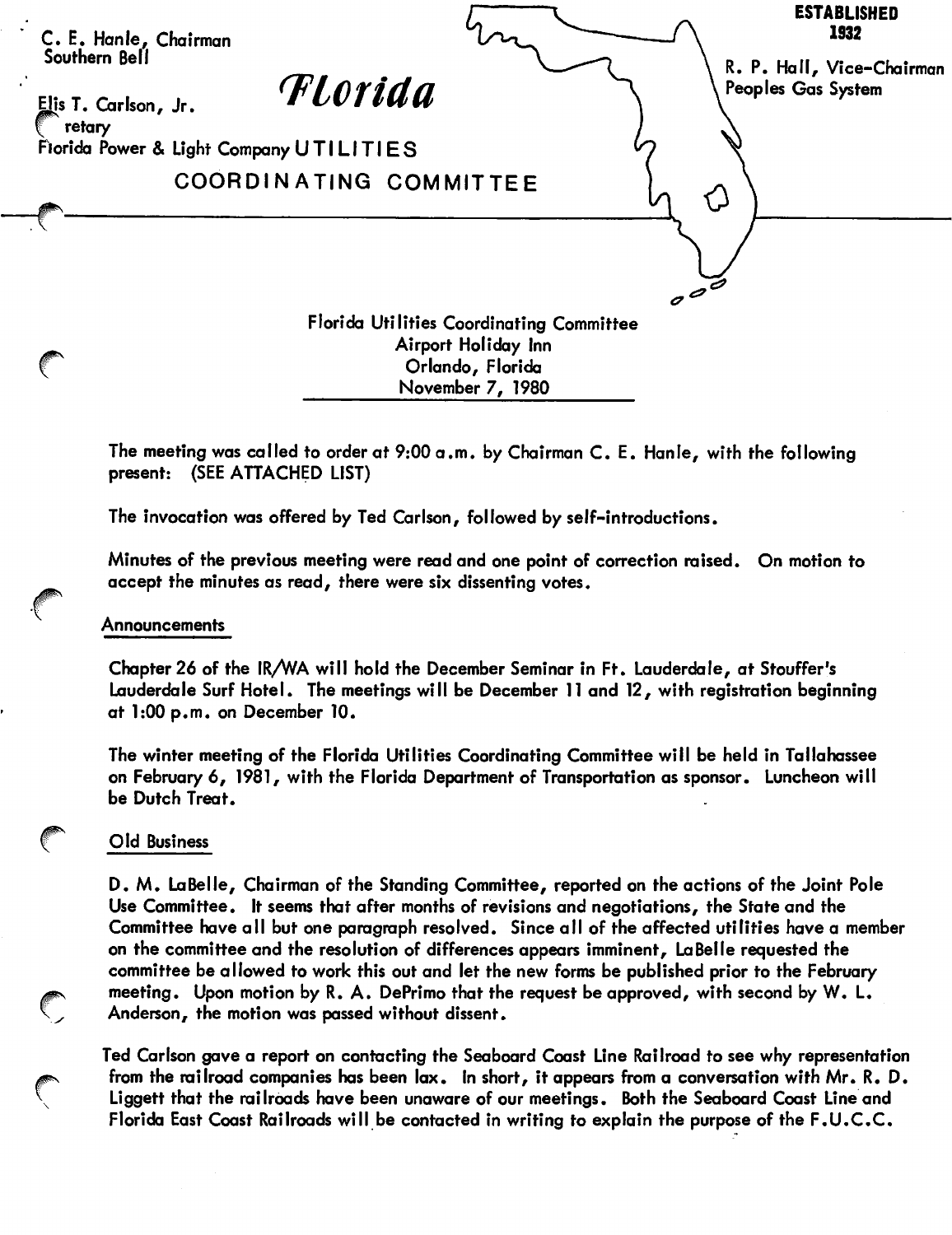

The meeting was called to order at 9:00 a.m. by Chairman C. E. Hanle, with the Following present: (SEE ATTACHED LIST)

The invocation was offered by Ted Carlson, followed by self-introductions.

Minutes of the previous meeting were read and one point of correction raised. On motion to accept the minutes as read, there were six dissenting votes.

### Announcements

Chapter 26 of the IR/WA will hold the December Seminar in Ft. Lauderdale, at Stouffer's Lauderdale Surf Hotel. The meetings will be December 11 and 12, with registration beginning at 1:00 p.m. on December 10.

The winter meeting of the Florida Utilities Coordinating Committee will be held in Tallahassee on February 6, 1981, with the Florida Department of Transportation as sponsor. Luncheon will be Dutch Treat.

### Old Business

€

 $\mathbb{C}$ 

D. M. LaBelle, Chairman of the Standing Committee, reported on the actions of the Joint Pole Use Committee. It seems that after months of revisions and negotiations, the State and the Committee have all but one paragraph resolved. Since all of the affected utilities have a member on the committee and the resolution of differences appears imminent, LaBelle requested the committee be allowed to work this out and let the new forms be published prior to the February meeting. Upon motion by R. A. DePrimo that the request be approved, with second by W. L. Anderson, the motion was passed without dissent.

Ted Carlson gave a report on contacting the Seaboard Coast Line Railroad to see why representation from the railroad companies has been lax. In short, it appears from a conversation with Mr. R. D. Liggett that the railroads have been unaware of our meetings. Both the Seaboard Coast Line and Florida East Coast Railroads will be contacted in writing to explain the purpose of the F.U.C.C.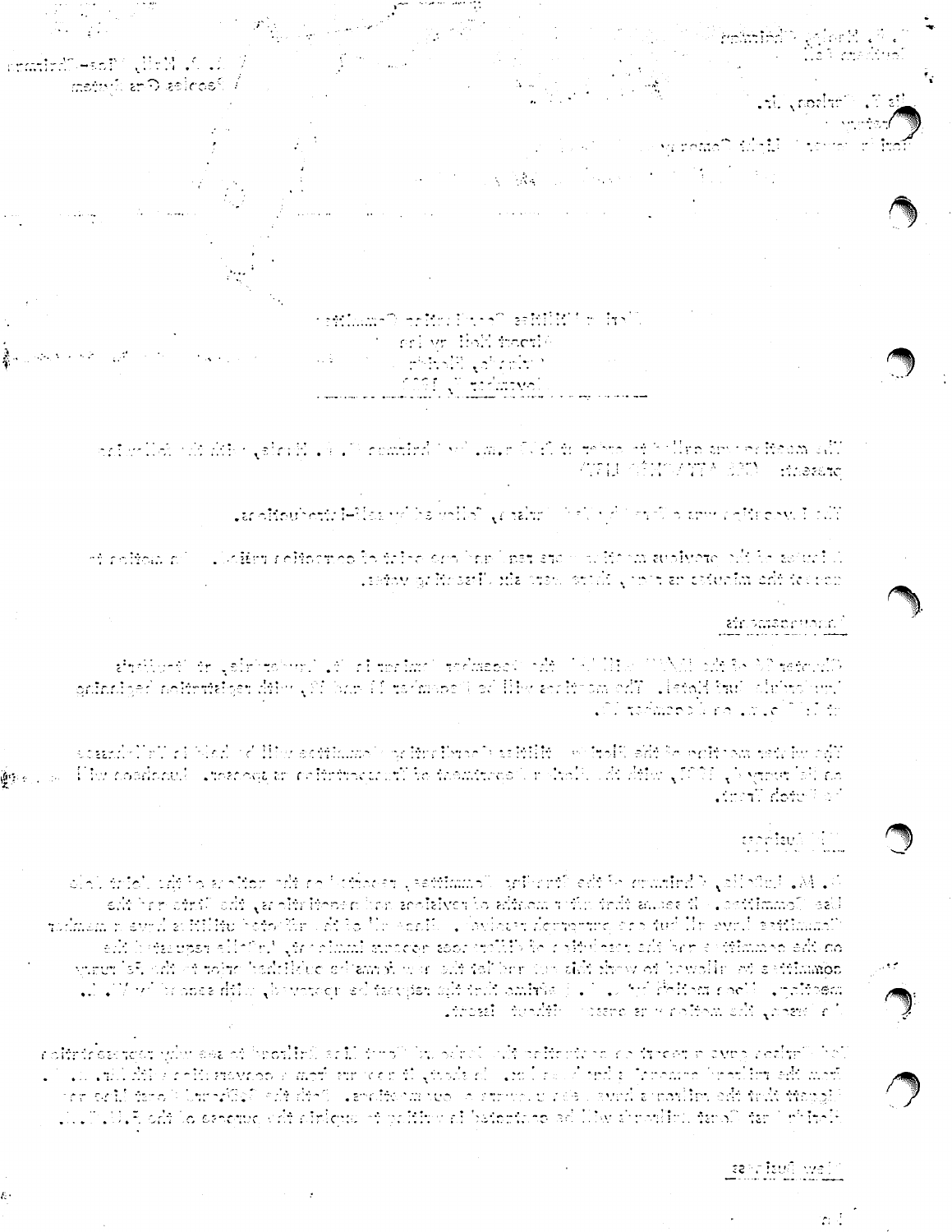rgadrifi-sef (dirk 1993 metura en O selcoes 1 **PARTICIPATION IN PARTICIPATION** onlive Hold froctl **Finilie** about the 1091 J tedintyol

والأقالية

orderlich uit dits gebruik . Auf beemind by James Coff to tebes of bullen approximates adl 

seroitowhere: 1-Neartaily will of years in the United States and the country of

of reffear ni - . Leitru cliosuco lo trice esclusio sue un itaca audivene ali la asturi l ູ່ເຊື້ອໃຫ້ເປັນການໃຫ້ການເລື້ອງ ແລະ ແລະ ເຊື້ອ ເລື້ອງ ແລະ ເຊິ່ງ ແລະ ເຊິ່ງ ເຊິ່ງ ແລະ ເຊິ່ງ ແລະ ເຊິ່ງ ແລະ ເຊິ່ງ ແລະ<br>ພວກເຮົາເຊິ່ງ ແລະ ເຊິ່ງ ແລະ ເຊິ່ງ ແລະ ເຊິ່ງ ແລະ ເຊິ່ງ ແລະ ເຊິ່ງ ແລະ ເຊິ່ງ ແລະ ເຊິ່ງ ແລະ ເຊິ່ງ ແລະ ເຊິ່ງ ແລະ ເຊ

afrismanninum (

int i norinn

Districts<br>Politicalist

n romo

sindiged in laightaburd , define index todassed the U.S. Has U.A.Head of the total and pointiged noifruisiges dilor (SI band I tedmone) ad like sor it om odF . letali ias olubrobur. <u>Chamadolino Indiana</u>

sceedelight of blody of Himselfiame is ordinationed settlift whitelfield be eattheast that in car an its tunny ( , 1991 , this control is the minute of function of function , is species , i.e. isomore will Attenti dotte i ani

taohitus (n. 11

 $\phi$  is found that the section of the function of  $\phi$  is the form in  $\phi$  and the control of  $M$  . the Committee . These months with number to state of rovisions and non-titrivity the United that the the man may hat this the series of the first continuation of the first of the first term in the series of the eak hotes upen allothal ger columni eurocen esos crollibric colitologon sak barr entitiumon sakono varty is, added to the baddidge adjampt war sid failber the sidd thew of bowells of actionates and  $\mathcal{C}$  . Then motify in the set of antino that the request being stroyed in File second by V in the set of  $\mathcal{C}$ galoga alah pero si rahina singgresia

roitricoscusso yilv ses of broilir? es il fury? Un oded differit to so integra ovep sosium? bol . The riled here is no more that be lots if you're if you are the recover the content that ideal is to be a lo ter sell tatoji langšilgū sid jagi (pantikomitao jo struntu vels), svri aurolina odi trik diskol (1.17.0). E odd le sanewe cdi sirique oi paliiro si batertane ad lliw shrowlin), isnab der bridheli,

<u>, septimus pred</u>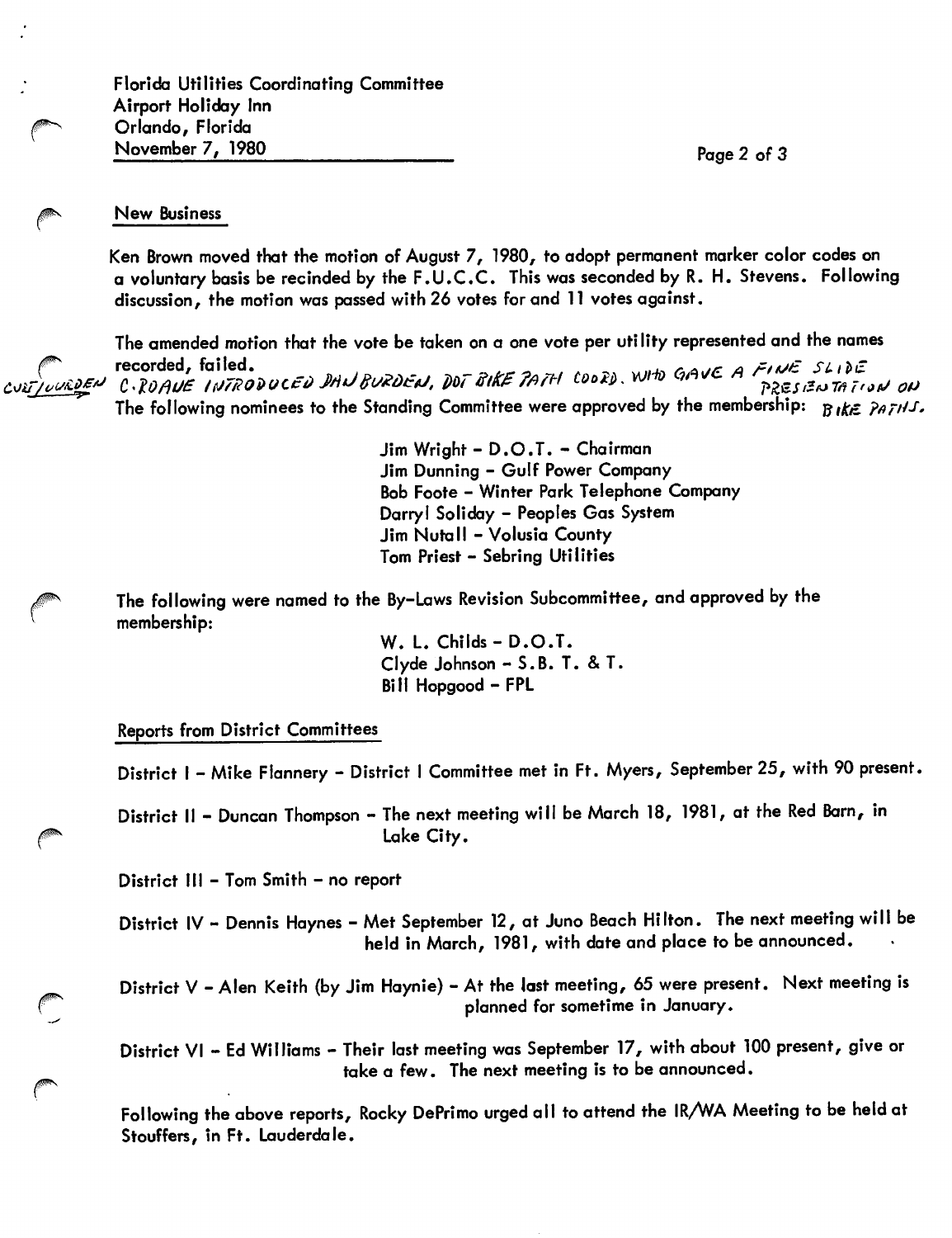### New Business

Ken Brown moved that the motion of August 7, 1980, to adopt permanent marker color codes on a voluntary basis be recinded by the F.U.C.C. This was seconded by R. H. Stevens. Following discussion, the motion was passed with 26 votes for and 11 votes against.

The amended motion that the vote be taken on a one vote per utility represented and the names

recorded, failed.<br>C.ROAUE INTRODUCED DAN BURDEN, DOT BIKE PATH COORD. WHO GAVE A FINE SLIDE PRESENTATION ON The following nominees to the Standing Committee were approved by the membership:  $B_1k\epsilon$   $P_4\tau HJ$ .

> Jim Wright - D.O.T. - Chairman Jim Dunning - Gulf Power Company Bob Foote - Winter Park Telephone Company Darryl Soliday - Peoples Gas System Jim Nutall - Volusia County Tom Priest - Sebring Utilities

The following were named to the By-Laws Revision Subcommittee, and approved by the membership:

> W. L. Childs - D.O.T. Clyde Johnson - S.B. T. & T. Bill Hopgood - FPL

### Reports from District Committees

District I - Mike Flannery - District I Committee met in Ft. Myers, September 25, with 90 present.

District II - Duncan Thompson - The next meeting will be March 18, 1981, at the Red Barn, in Lake City.

District III - Tom Smith - no report

District IV - Dennis Haynes - Met September 12, at Juno Beach Hilton. The next meeting will be held in March, 1981, with date and place to be announced.

District V - Alen Keith (by Jim Haynie) - At the last meeting, 65 were present. Next meeting is planned for sometime in January.

District VI - Ed Williams - Their last meeting was September 17, with about 100 present, give or take a few. The next meeting is to be announced.

Following the above reports, Rocky DePrimo urged all to attend the IR/WA Meeting to be held at Stouffers, in Ft. Lauderdale.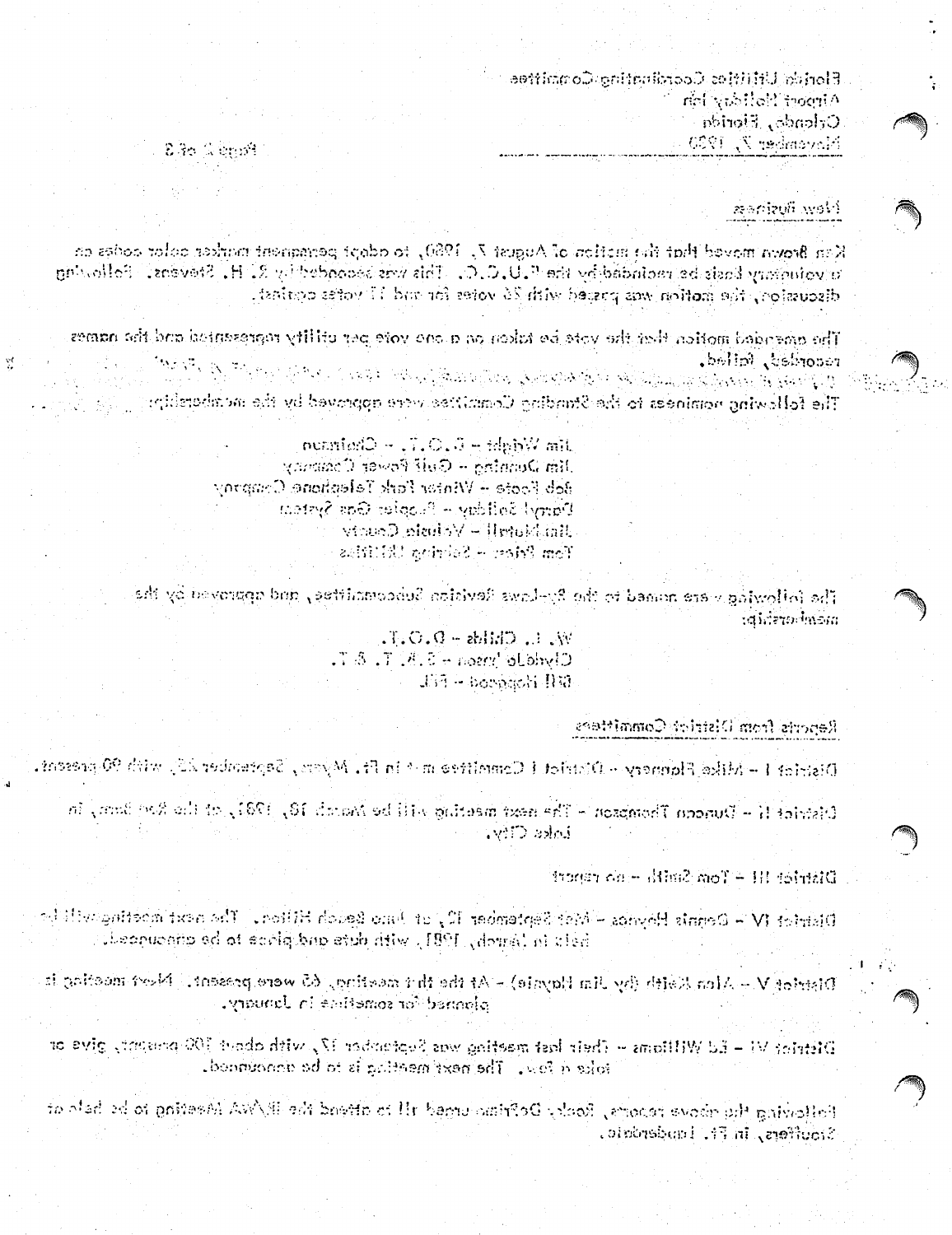Elonistic Utilities Coordination Committee. nel violich trocnio Crlende, Fierida **COST Negative P.** 

8.36 % ens9

 $\mathbf{v}$ 

# New indiass

Kan Brown moved that the mation of August 7, 1980, to adapt permanent marker golar codes an  $\alpha$  voltein variable betraded by the U.O.O.U. This was seconded by  $2.1\,$ H. Stevens. Following discussion, the motion was passed with 26 votes for not 11 votes acainst.

The amenging motion that the version of alcon as a cone you at lifty regressing is and the among corded, failed,

સીને જિલ્લો કરી કરી હતી. જિલ્લાના સ્ટેન્ડર વિજય જિલ્લા માટે જોવા જિલ્લો કરી છે. જિલ્લો કરી કે જિલ્લો વિજય રહે The following naminees to the Standing Committee vere approved by the memorality:  $\gamma$ 

> $\text{normal}(G \rightarrow G, G) \rightarrow \text{rel}(\text{cl} \cup \text{cl} \cup \text{cl} \cup \text{cl} \cup \text{cl} \cup \text{cl}$ Hm Donning - Golf Fower Common deb Foote - Winter Ferk Telestione Company Partyl Soliday - Paspier Gras System Maisland - Velinie Couchy Tom Prizes - Seisting Utilities

The following were moned to the Symbolic continue Second triangly ded upproved by the candero dinam

> $W_1$ . Childs  $\sim$  O.O.T.  $T \wedge T$ ,  $\emptyset$ ,  $T \wedge T$ ,  $T \wedge T$ ,  $T \wedge T$ ,  $T \wedge T$  $J55 +$  become  $H30$

> > Reports from District Committees

District  $1 - k$  displays a District I Committee met in Fi,  $M$  yers, September 22, with 90 present.

Oisheld + Duncen Thompson + The next meeting will be framely 1981, the fact the form limit, in **Lytes** City,

District H = Tom Sadith - ab report

Distribution in the Hernian Holds September 12, at fame is design History of the next most insectional interval held in faurch).  $1981$  , with dute and probe to be emongent. .

District V — Alexikin (by Jim Haynie) — At the the chesting, 65 were present, Meet meeting the in planned for sometime in January.

District VI – Ed Williams – Their last meeting was Suptember 17, with about 100 prusht; give or toke a four. The next meating is to be donotoned.

Following the choose reports, Rocky DePrimo erget if to diverse the BMWA Meeting to be before at Stouffers, in Ft. Lunderdate.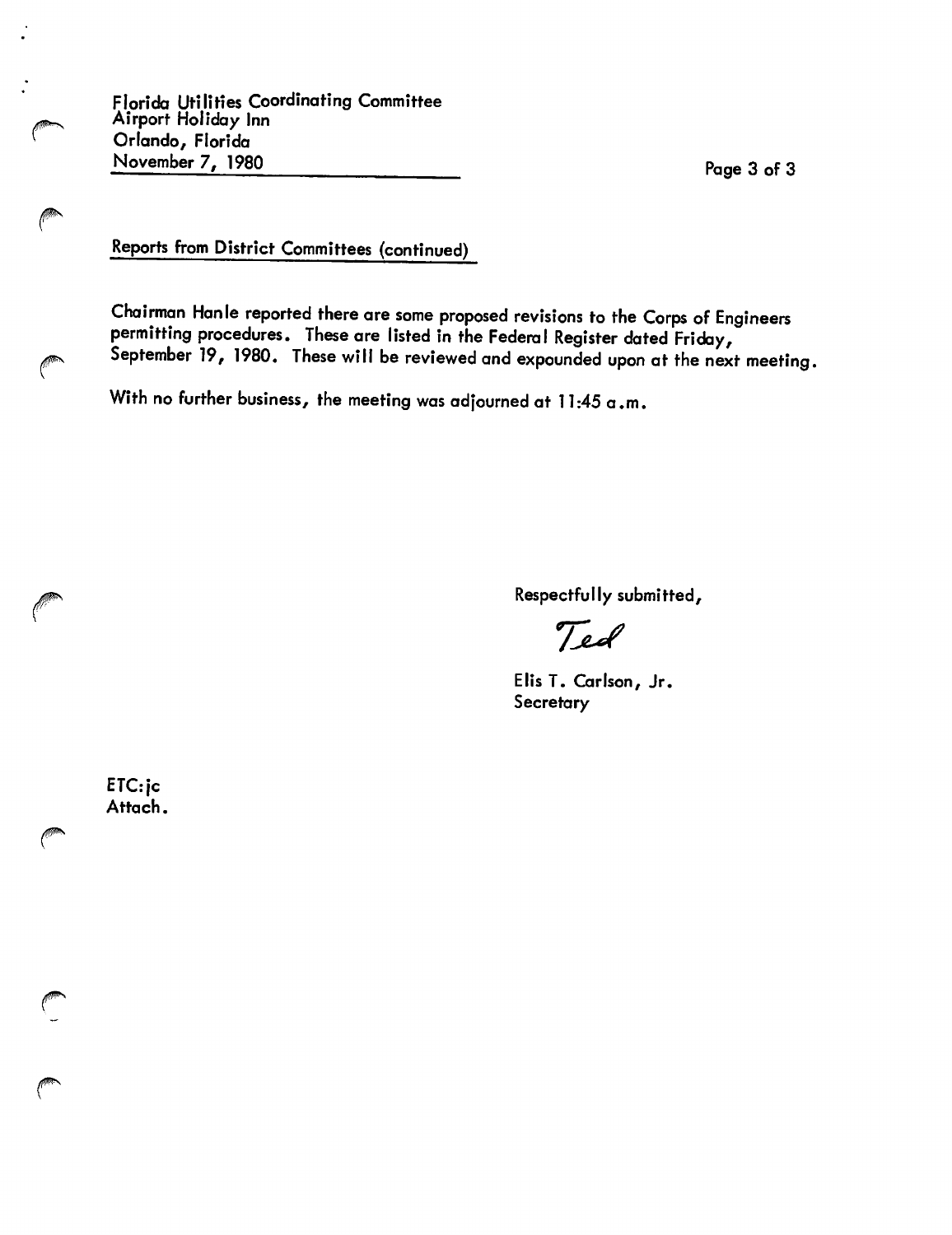Florida Utilities Coordinating Committee Airport Holiday Inn Orlando, Florida November 7, 1980 Page 3 of 3

Reports from District Committees (continued)

Chairman Hanle reported there are some proposed revisions to the Corps of Engineers permitting procedures. These ore listed in the Federal Register dated Friday, September 19, 1980. These will be reviewed and expounded upon at the next meeting.

With no further business, the meeting was adjourned at 11:45 a.m.

Respectfully submitted.

Ted

Elis T. Carlson, Jr. **Secretary** 

 $ETC$ :  $ic$ Attach.

@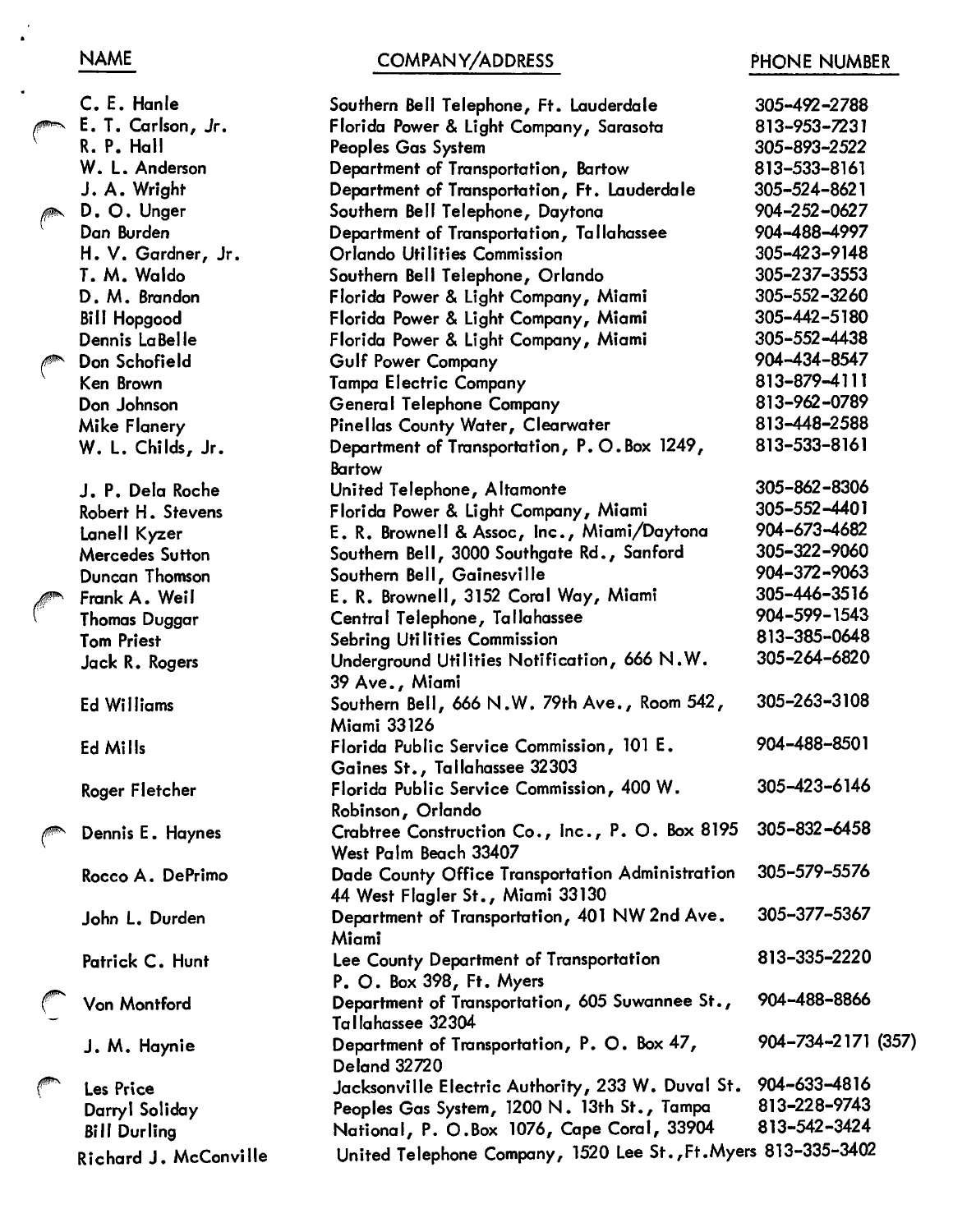# NAME COMPANY/ADDRESS PHONE NUMBER

| C. E. Hanle<br>E. T. Carlson, Jr.<br>R. P. Hall<br>W. L. Anderson                                                                                                                 |
|-----------------------------------------------------------------------------------------------------------------------------------------------------------------------------------|
| J. A. Wright<br>D. O. Unger<br>Dan Burden<br>H. V. Gardner, Jr.                                                                                                                   |
| T. M. Waldo<br>D. M. Brandon<br><b>Bill Hopgood</b><br>Dennis LaBelle<br>Don Schofield<br>Ken Brown<br>Don Johnson<br>Mike Flanery<br>W. L. Childs, Jr.                           |
| J. P. Dela Roche<br>Robert H. Stevens<br>Lanell Kyzer<br><b>Mercedes Sutton</b><br>Duncan Thomson<br>Frank A. Weil<br><b>Thomas Duggar</b><br><b>Tom Priest</b><br>Jack R. Rogers |
| Ed Williams                                                                                                                                                                       |
| Ed Mills                                                                                                                                                                          |
| Roger Fletcher                                                                                                                                                                    |
| Dennis E. Haynes                                                                                                                                                                  |
| Rocco A. DePrimo                                                                                                                                                                  |
| John L. Durden                                                                                                                                                                    |
| Patrick C. Hunt                                                                                                                                                                   |
| <b>Von Montford</b>                                                                                                                                                               |
| J. M. Haynie                                                                                                                                                                      |
| Les Price<br>Darryl Soliday<br><b>Bill Durling</b><br>Richard J. McConville                                                                                                       |

| Southern Bell Telephone, Ft. Lauderdale                        | 305-492-2788       |  |  |  |
|----------------------------------------------------------------|--------------------|--|--|--|
| Florida Power & Light Company, Sarasota                        | 813-953-7231       |  |  |  |
| Peoples Gas System                                             | 305-893-2522       |  |  |  |
| Department of Transportation, Bartow                           | 813-533-8161       |  |  |  |
| Department of Transportation, Ft. Lauderdale                   | 305-524-8621       |  |  |  |
| Southern Bell Telephone, Daytona                               | 904-252-0627       |  |  |  |
| Department of Transportation, Tallahassee                      | 904-488-4997       |  |  |  |
| Orlando Utilities Commission                                   | 305-423-9148       |  |  |  |
| Southern Bell Telephone, Orlando                               | 305-237-3553       |  |  |  |
| Florida Power & Light Company, Miami                           | $305 - 552 - 3260$ |  |  |  |
| Florida Power & Light Company, Miami                           | 305-442-5180       |  |  |  |
| Florida Power & Light Company, Miami                           | 305-552-4438       |  |  |  |
| <b>Gulf Power Company</b>                                      | 904-434-8547       |  |  |  |
| Tampa Electric Company                                         | 813-879-4111       |  |  |  |
| General Telephone Company                                      | 813-962-0789       |  |  |  |
| Pinellas County Water, Clearwater                              | 813-448-2588       |  |  |  |
| Department of Transportation, P.O.Box 1249,                    | 813-533-8161       |  |  |  |
|                                                                |                    |  |  |  |
| Bartow                                                         | 305-862-8306       |  |  |  |
| United Telephone, Altamonte                                    | 305-552-4401       |  |  |  |
| Florida Power & Light Company, Miami                           | 904-673-4682       |  |  |  |
| E. R. Brownell & Assoc, Inc., Miami/Daytona                    | 305-322-9060       |  |  |  |
| Southern Bell, 3000 Southgate Rd., Sanford                     |                    |  |  |  |
| Southern Bell, Gainesville                                     | 904-372-9063       |  |  |  |
| E. R. Brownell, 3152 Coral Way, Miami                          | 305-446-3516       |  |  |  |
| Central Telephone, Tallahassee                                 | 904-599-1543       |  |  |  |
| Sebring Utilities Commission                                   | 813-385-0648       |  |  |  |
| Underground Utilities Notification, 666 N.W.                   | 305-264-6820       |  |  |  |
| 39 Ave., Miami                                                 |                    |  |  |  |
| Southern Bell, 666 N.W. 79th Ave., Room 542,                   | 305-263-3108       |  |  |  |
| <b>Miami 33126</b>                                             |                    |  |  |  |
| Florida Public Service Commission, 101 E.                      | 904-488-8501       |  |  |  |
| Gaines St., Tallahassee 32303                                  |                    |  |  |  |
| Florida Public Service Commission, 400 W.                      | 305-423-6146       |  |  |  |
| Robinson, Orlando                                              |                    |  |  |  |
| Crabtree Construction Co., inc., P. O. Box 8195                | $305 - 832 - 6458$ |  |  |  |
| West Palm Beach 33407                                          |                    |  |  |  |
| Dade County Office Transportation Administration               | 305-579-5576       |  |  |  |
| 44 West Flagler St., Miami 33130                               |                    |  |  |  |
| Department of Transportation, 401 NW 2nd Ave.                  | 305-377-5367       |  |  |  |
| Miami                                                          |                    |  |  |  |
| Lee County Department of Transportation                        | 813-335-2220       |  |  |  |
| P. O. Box 398, Ft. Myers                                       |                    |  |  |  |
| Department of Transportation, 605 Suwannee St.,                | 904-488-8866       |  |  |  |
| Tallahassee 32304                                              |                    |  |  |  |
| Department of Transportation, P. O. Box 47,                    | 904-734-2171 (357) |  |  |  |
| <b>Deland 32720</b>                                            |                    |  |  |  |
| Jacksonville Electric Authority, 233 W. Duval St.              | 904-633-4816       |  |  |  |
| Peoples Gas System, 1200 N. 13th St., Tampa                    | 813-228-9743       |  |  |  |
| National, P. O.Box 1076, Cape Coral, 33904                     | 813-542-3424       |  |  |  |
| United Telephone Company, 1520 Lee St., Ft. Myers 813-335-3402 |                    |  |  |  |
|                                                                |                    |  |  |  |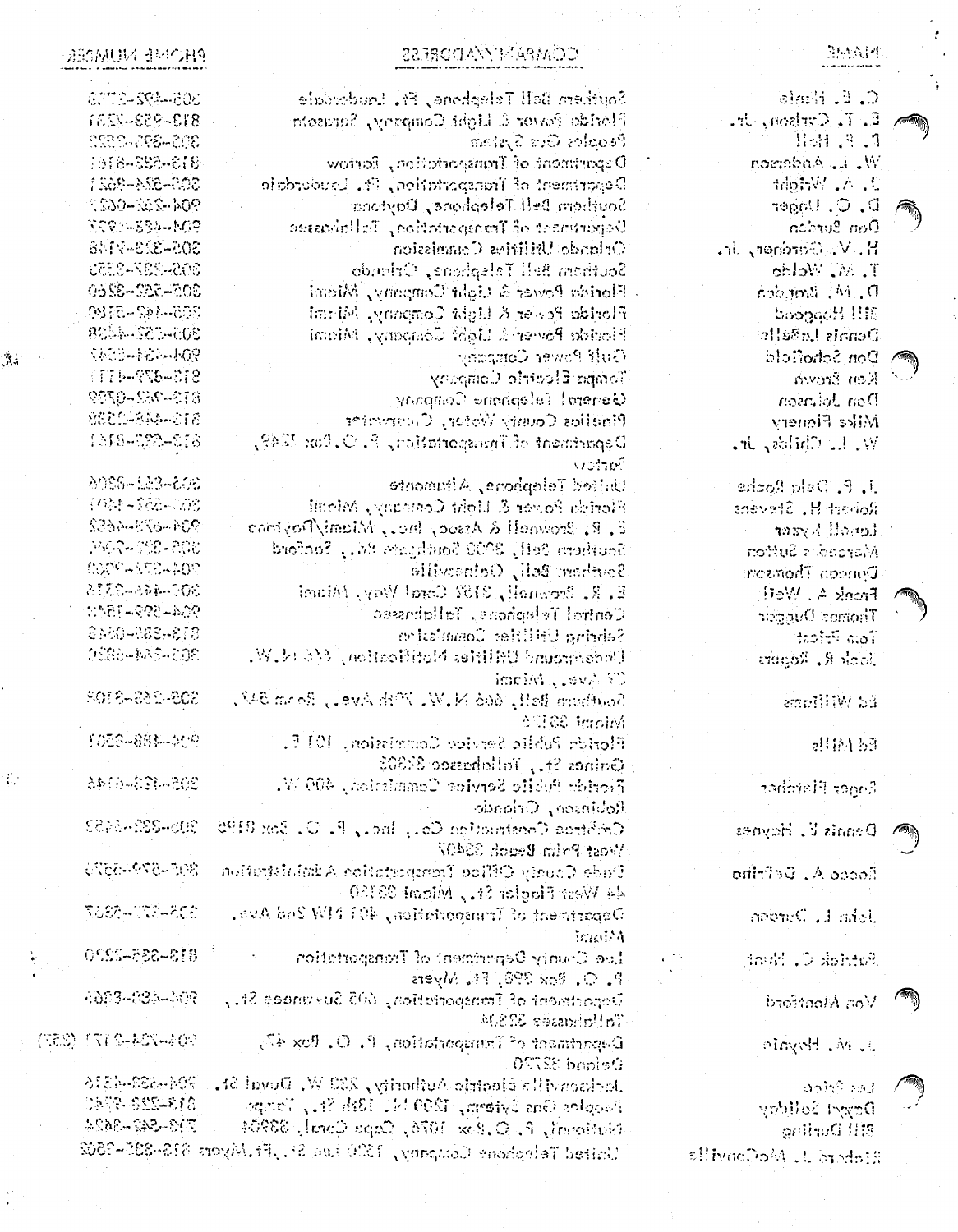通訊性

clash .1.0  $E$ ,  $T$ , Cyrlson, Jr. BoH R.A pociability of W dohW .A .E  $D_+$   $C_+$  Unger Den Burden N. V. Gerdaer, Jr. T. M. Welde D. H. Branden boogqcH HE Dennis Laðelle: Don Schoffeld Ken Brown Don Johnson Mike Flonery  $W, L, C$ hilda, k.

J. P. Dola Roche Robert H., Stevens anny A Hossail **Marcons Suffer** Demont nooned Fronk  $A$  . Well, Thomas Dugger tasith moi Sock R. Region

empHiW bi

退倍压

Rager Flatcher

Dennis U., Heynes

Rocco A. Delation

John L. Durch

and . O dobted.

**brottnofA** noV

singelf . Mr. J.

ophficed Dewin Soliday Selland Hite Richard J. McConville

# COASCOANNIMASADD

温的机场 起化相

 $\mathcal{J}_{\rm eff}$ 

 $\mathcal{L}$  :

| 8273-594-806                | Sopthern Boll Telephone, Ft. Laudordale                                                                                                                                                                                                                                                        |  |
|-----------------------------|------------------------------------------------------------------------------------------------------------------------------------------------------------------------------------------------------------------------------------------------------------------------------------------------|--|
| 813-953-72518               | Florido Pover û Light Compsoy, Surusoin                                                                                                                                                                                                                                                        |  |
| 3533-398-308                | විදොස්තුව වාසි System                                                                                                                                                                                                                                                                          |  |
| 3918-892-818                | D'opentment of Transportation, Rentow                                                                                                                                                                                                                                                          |  |
| 1569-AS2-302                | Depriment of Transportation, it. Loudurdale                                                                                                                                                                                                                                                    |  |
| 204-352-302                 | Southern Bell Telephone, Daytons                                                                                                                                                                                                                                                               |  |
| 3381-534-108                | Deputtuant of Transportation, Tailanussee                                                                                                                                                                                                                                                      |  |
| 8519-838-808                | $Q$ rlando Wilitites Commission                                                                                                                                                                                                                                                                |  |
| CCD8-NSS-208                |                                                                                                                                                                                                                                                                                                |  |
|                             | Southern Bell Talephone, Orlendo                                                                                                                                                                                                                                                               |  |
| 0598-928-208                | Elerica Power & Ught Company, Microi                                                                                                                                                                                                                                                           |  |
| 19875-092-302               | Floride Reviser & Light Company, Minni                                                                                                                                                                                                                                                         |  |
| 205-2325-202                | Hodde Power's Udoff Company, Microi                                                                                                                                                                                                                                                            |  |
| 不可的 计名词形式分段                 | Gulf Power Company                                                                                                                                                                                                                                                                             |  |
| 813-079-075                 | Tompa Electric Company                                                                                                                                                                                                                                                                         |  |
| 813-263-0789                | General Telephono Company                                                                                                                                                                                                                                                                      |  |
| 8600-844-018                | Pinellas County Wotor, Cuartwriter                                                                                                                                                                                                                                                             |  |
| 1518-022-016                | Department of Thursportation, $\mathbb{P}_+ \mathbb{O}_+$ Cox $\mathbb{M} \backslash \mathbb{S}_+$<br>vottel                                                                                                                                                                                   |  |
| 8988-533-206                | Similard Telephone, Altumonte                                                                                                                                                                                                                                                                  |  |
| 不适于与空无人的的                   | Florida Power & Licht Company, Micrisi                                                                                                                                                                                                                                                         |  |
| \$250-550-009               | E. R. Brownell & Assoc, and , Midmi/Deyrone                                                                                                                                                                                                                                                    |  |
| PHORE SHEETS                |                                                                                                                                                                                                                                                                                                |  |
| 2009-352-102                | Scuthern 2011) 3000 Southgate Rd., Sucford                                                                                                                                                                                                                                                     |  |
|                             | Southam: Bell, Gainswille                                                                                                                                                                                                                                                                      |  |
| 3128-444-306                | $E_{\star}$ R, Sremall, 3137 Coral Vey, Miumi                                                                                                                                                                                                                                                  |  |
| 10081-000-000               | Central Telephone, Tallahasseo                                                                                                                                                                                                                                                                 |  |
| 842642884818                | Sebring UHHHer Commission                                                                                                                                                                                                                                                                      |  |
| 0286-143-208                | Underground Ufilities Motification, 336 (V.W.                                                                                                                                                                                                                                                  |  |
|                             | $\mathbb{R}^n$ (weight) $\mathbb{R}^n$                                                                                                                                                                                                                                                         |  |
| 8018-822-802                | Soldburn Bell, 605 N.W. With Ave., Robin 542,                                                                                                                                                                                                                                                  |  |
|                             | ASI CELIMAINA                                                                                                                                                                                                                                                                                  |  |
| 1059-884-469                | Florida Public Service Commission, 101 E.                                                                                                                                                                                                                                                      |  |
|                             | Gaines St., Iallahassee 32000                                                                                                                                                                                                                                                                  |  |
| 3415-231-308                | Fiction fubiid Service Commission , 400 W .                                                                                                                                                                                                                                                    |  |
|                             | Rebinson, Grigado                                                                                                                                                                                                                                                                              |  |
| 205-325-353                 | Cribities Construction Co., Inc., P. O. Sm $0.195$                                                                                                                                                                                                                                             |  |
|                             | Nest Point Beach S2407                                                                                                                                                                                                                                                                         |  |
| 892-570-0575                | Dude County Office Trensperiented Administration                                                                                                                                                                                                                                               |  |
|                             | 44 West Elegist St., Wiemi-33150                                                                                                                                                                                                                                                               |  |
| 7688-103-868                | Department of Trunsportation, 401 MW 2nd Ave.                                                                                                                                                                                                                                                  |  |
|                             | JosefAA                                                                                                                                                                                                                                                                                        |  |
| 05SS-888-078                | Lee Cromby Dépretéent of Transportation                                                                                                                                                                                                                                                        |  |
|                             | $P_+ \oplus$ , $\partial_{\mathcal{O}X}$ $\partial_{\mathcal{O}Y}$ $\partial_{\mathcal{O}Y}$ $\partial_{\mathcal{O}Y}$ is by ers                                                                                                                                                               |  |
| -5323-033-403               | Department of Immsperiation, 603 Suveneses St.,                                                                                                                                                                                                                                                |  |
|                             | To [bolsases 32.3.14                                                                                                                                                                                                                                                                           |  |
| $(352)$ $(374.2) + 231.402$ | Department of Transportation, $P_1, Q_2, R_X \notin \mathbb{Z}_p$                                                                                                                                                                                                                              |  |
|                             | ONTEE books()                                                                                                                                                                                                                                                                                  |  |
| 0581-886-1-09               | Jacksonyille électric Authority, 233 W. Duval St.                                                                                                                                                                                                                                              |  |
| 013-228-5740                | Popples Ons Sylemp, 1209 M. 1315 St., Tampo                                                                                                                                                                                                                                                    |  |
| 2525-32-563                 | $\text{t4}$ and $\text{t}$ , $\text{t}$ , $\text{t}$ , $\text{t}$ , $\text{t}$ , $\text{t}$ , $\text{t}$ , $\text{t}$ , $\text{t}$ , $\text{t}$ , $\text{t}$ , $\text{t}$ , $\text{t}$ , $\text{t}$ , $\text{t}$ , $\text{t}$ , $\text{t}$ , $\text{t}$ , $\text{t}$ , $\text{t}$ , $\text{t}$ |  |
|                             |                                                                                                                                                                                                                                                                                                |  |

United Telephone Company, 1300 last 12, 17: Myors 813-21302 -3502